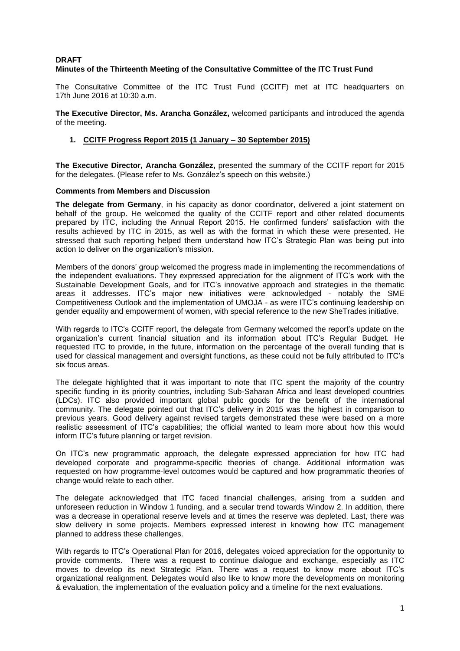## **DRAFT Minutes of the Thirteenth Meeting of the Consultative Committee of the ITC Trust Fund**

The Consultative Committee of the ITC Trust Fund (CCITF) met at ITC headquarters on 17th June 2016 at 10:30 a.m.

**The Executive Director, Ms. Arancha González,** welcomed participants and introduced the agenda of the meeting.

## **1. CCITF Progress Report 2015 (1 January – 30 September 2015)**

**The Executive Director, Arancha González,** presented the summary of the CCITF report for 2015 for the delegates. (Please refer to Ms. González's speech on this website.)

#### **Comments from Members and Discussion**

**The delegate from Germany**, in his capacity as donor coordinator, delivered a joint statement on behalf of the group. He welcomed the quality of the CCITF report and other related documents prepared by ITC, including the Annual Report 2015. He confirmed funders' satisfaction with the results achieved by ITC in 2015, as well as with the format in which these were presented. He stressed that such reporting helped them understand how ITC's Strategic Plan was being put into action to deliver on the organization's mission.

Members of the donors' group welcomed the progress made in implementing the recommendations of the independent evaluations. They expressed appreciation for the alignment of ITC's work with the Sustainable Development Goals, and for ITC's innovative approach and strategies in the thematic areas it addresses. ITC's major new initiatives were acknowledged - notably the SME Competitiveness Outlook and the implementation of UMOJA - as were ITC's continuing leadership on gender equality and empowerment of women, with special reference to the new SheTrades initiative.

With regards to ITC's CCITF report, the delegate from Germany welcomed the report's update on the organization's current financial situation and its information about ITC's Regular Budget. He requested ITC to provide, in the future, information on the percentage of the overall funding that is used for classical management and oversight functions, as these could not be fully attributed to ITC's six focus areas.

The delegate highlighted that it was important to note that ITC spent the majority of the country specific funding in its priority countries, including Sub-Saharan Africa and least developed countries (LDCs). ITC also provided important global public goods for the benefit of the international community. The delegate pointed out that ITC's delivery in 2015 was the highest in comparison to previous years. Good delivery against revised targets demonstrated these were based on a more realistic assessment of ITC's capabilities; the official wanted to learn more about how this would inform ITC's future planning or target revision.

On ITC's new programmatic approach, the delegate expressed appreciation for how ITC had developed corporate and programme-specific theories of change. Additional information was requested on how programme-level outcomes would be captured and how programmatic theories of change would relate to each other.

The delegate acknowledged that ITC faced financial challenges, arising from a sudden and unforeseen reduction in Window 1 funding, and a secular trend towards Window 2. In addition, there was a decrease in operational reserve levels and at times the reserve was depleted. Last, there was slow delivery in some projects. Members expressed interest in knowing how ITC management planned to address these challenges.

With regards to ITC's Operational Plan for 2016, delegates voiced appreciation for the opportunity to provide comments. There was a request to continue dialogue and exchange, especially as ITC moves to develop its next Strategic Plan. There was a request to know more about ITC's organizational realignment. Delegates would also like to know more the developments on monitoring & evaluation, the implementation of the evaluation policy and a timeline for the next evaluations.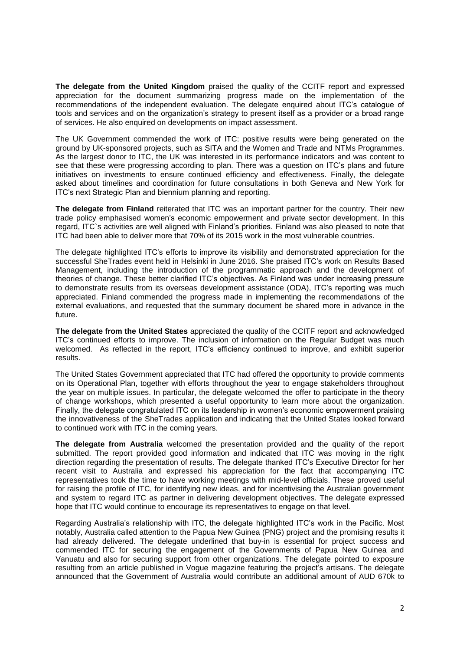**The delegate from the United Kingdom** praised the quality of the CCITF report and expressed appreciation for the document summarizing progress made on the implementation of the recommendations of the independent evaluation. The delegate enquired about ITC's catalogue of tools and services and on the organization's strategy to present itself as a provider or a broad range of services. He also enquired on developments on impact assessment.

The UK Government commended the work of ITC: positive results were being generated on the ground by UK-sponsored projects, such as SITA and the Women and Trade and NTMs Programmes. As the largest donor to ITC, the UK was interested in its performance indicators and was content to see that these were progressing according to plan. There was a question on ITC's plans and future initiatives on investments to ensure continued efficiency and effectiveness. Finally, the delegate asked about timelines and coordination for future consultations in both Geneva and New York for ITC's next Strategic Plan and biennium planning and reporting.

**The delegate from Finland** reiterated that ITC was an important partner for the country. Their new trade policy emphasised women's economic empowerment and private sector development. In this regard, ITC`s activities are well aligned with Finland's priorities. Finland was also pleased to note that ITC had been able to deliver more that 70% of its 2015 work in the most vulnerable countries.

The delegate highlighted ITC's efforts to improve its visibility and demonstrated appreciation for the successful SheTrades event held in Helsinki in June 2016. She praised ITC's work on Results Based Management, including the introduction of the programmatic approach and the development of theories of change. These better clarified ITC's objectives. As Finland was under increasing pressure to demonstrate results from its overseas development assistance (ODA), ITC's reporting was much appreciated. Finland commended the progress made in implementing the recommendations of the external evaluations, and requested that the summary document be shared more in advance in the future.

**The delegate from the United States** appreciated the quality of the CCITF report and acknowledged ITC's continued efforts to improve. The inclusion of information on the Regular Budget was much welcomed. As reflected in the report, ITC's efficiency continued to improve, and exhibit superior results.

The United States Government appreciated that ITC had offered the opportunity to provide comments on its Operational Plan, together with efforts throughout the year to engage stakeholders throughout the year on multiple issues. In particular, the delegate welcomed the offer to participate in the theory of change workshops, which presented a useful opportunity to learn more about the organization. Finally, the delegate congratulated ITC on its leadership in women's economic empowerment praising the innovativeness of the SheTrades application and indicating that the United States looked forward to continued work with ITC in the coming years.

**The delegate from Australia** welcomed the presentation provided and the quality of the report submitted. The report provided good information and indicated that ITC was moving in the right direction regarding the presentation of results. The delegate thanked ITC's Executive Director for her recent visit to Australia and expressed his appreciation for the fact that accompanying ITC representatives took the time to have working meetings with mid-level officials. These proved useful for raising the profile of ITC, for identifying new ideas, and for incentivising the Australian government and system to regard ITC as partner in delivering development objectives. The delegate expressed hope that ITC would continue to encourage its representatives to engage on that level.

Regarding Australia's relationship with ITC, the delegate highlighted ITC's work in the Pacific. Most notably, Australia called attention to the Papua New Guinea (PNG) project and the promising results it had already delivered. The delegate underlined that buy-in is essential for project success and commended ITC for securing the engagement of the Governments of Papua New Guinea and Vanuatu and also for securing support from other organizations. The delegate pointed to exposure resulting from an article published in Vogue magazine featuring the project's artisans. The delegate announced that the Government of Australia would contribute an additional amount of AUD 670k to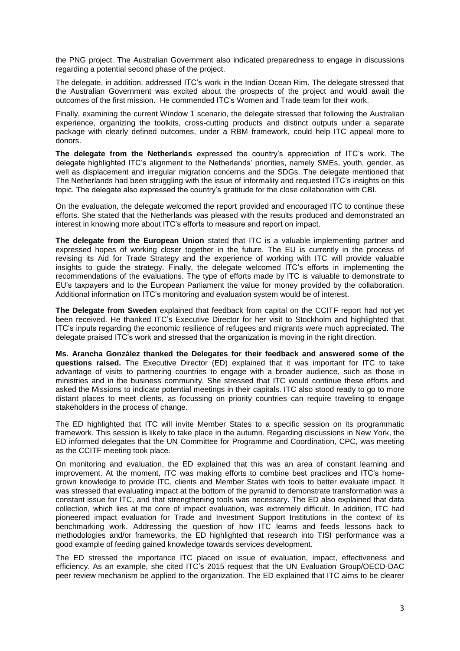the PNG project. The Australian Government also indicated preparedness to engage in discussions regarding a potential second phase of the project.

The delegate, in addition, addressed ITC's work in the Indian Ocean Rim. The delegate stressed that the Australian Government was excited about the prospects of the project and would await the outcomes of the first mission. He commended ITC's Women and Trade team for their work.

Finally, examining the current Window 1 scenario, the delegate stressed that following the Australian experience, organizing the toolkits, cross-cutting products and distinct outputs under a separate package with clearly defined outcomes, under a RBM framework, could help ITC appeal more to donors.

**The delegate from the Netherlands** expressed the country's appreciation of ITC's work. The delegate highlighted ITC's alignment to the Netherlands' priorities, namely SMEs, youth, gender, as well as displacement and irregular migration concerns and the SDGs. The delegate mentioned that The Netherlands had been struggling with the issue of informality and requested ITC's insights on this topic. The delegate also expressed the country's gratitude for the close collaboration with CBI.

On the evaluation, the delegate welcomed the report provided and encouraged ITC to continue these efforts. She stated that the Netherlands was pleased with the results produced and demonstrated an interest in knowing more about ITC's efforts to measure and report on impact.

**The delegate from the European Union** stated that ITC is a valuable implementing partner and expressed hopes of working closer together in the future. The EU is currently in the process of revising its Aid for Trade Strategy and the experience of working with ITC will provide valuable insights to guide the strategy. Finally, the delegate welcomed ITC's efforts in implementing the recommendations of the evaluations. The type of efforts made by ITC is valuable to demonstrate to EU's taxpayers and to the European Parliament the value for money provided by the collaboration. Additional information on ITC's monitoring and evaluation system would be of interest.

**The Delegate from Sweden** explained that feedback from capital on the CCITF report had not yet been received. He thanked ITC's Executive Director for her visit to Stockholm and highlighted that ITC's inputs regarding the economic resilience of refugees and migrants were much appreciated. The delegate praised ITC's work and stressed that the organization is moving in the right direction.

**Ms. Arancha González thanked the Delegates for their feedback and answered some of the questions raised.** The Executive Director (ED) explained that it was important for ITC to take advantage of visits to partnering countries to engage with a broader audience, such as those in ministries and in the business community. She stressed that ITC would continue these efforts and asked the Missions to indicate potential meetings in their capitals. ITC also stood ready to go to more distant places to meet clients, as focussing on priority countries can require traveling to engage stakeholders in the process of change.

The ED highlighted that ITC will invite Member States to a specific session on its programmatic framework. This session is likely to take place in the autumn. Regarding discussions in New York, the ED informed delegates that the UN Committee for Programme and Coordination, CPC, was meeting as the CCITF meeting took place.

On monitoring and evaluation, the ED explained that this was an area of constant learning and improvement. At the moment, ITC was making efforts to combine best practices and ITC's homegrown knowledge to provide ITC, clients and Member States with tools to better evaluate impact. It was stressed that evaluating impact at the bottom of the pyramid to demonstrate transformation was a constant issue for ITC, and that strengthening tools was necessary. The ED also explained that data collection, which lies at the core of impact evaluation, was extremely difficult. In addition, ITC had pioneered impact evaluation for Trade and Investment Support Institutions in the context of its benchmarking work. Addressing the question of how ITC learns and feeds lessons back to methodologies and/or frameworks, the ED highlighted that research into TISI performance was a good example of feeding gained knowledge towards services development.

The ED stressed the importance ITC placed on issue of evaluation, impact, effectiveness and efficiency. As an example, she cited ITC's 2015 request that the UN Evaluation Group/OECD-DAC peer review mechanism be applied to the organization. The ED explained that ITC aims to be clearer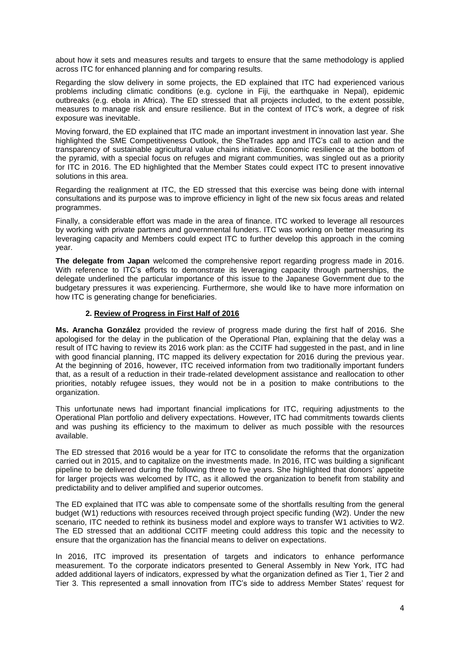about how it sets and measures results and targets to ensure that the same methodology is applied across ITC for enhanced planning and for comparing results.

Regarding the slow delivery in some projects, the ED explained that ITC had experienced various problems including climatic conditions (e.g. cyclone in Fiji, the earthquake in Nepal), epidemic outbreaks (e.g. ebola in Africa). The ED stressed that all projects included, to the extent possible, measures to manage risk and ensure resilience. But in the context of ITC's work, a degree of risk exposure was inevitable.

Moving forward, the ED explained that ITC made an important investment in innovation last year. She highlighted the SME Competitiveness Outlook, the SheTrades app and ITC's call to action and the transparency of sustainable agricultural value chains initiative. Economic resilience at the bottom of the pyramid, with a special focus on refuges and migrant communities, was singled out as a priority for ITC in 2016. The ED highlighted that the Member States could expect ITC to present innovative solutions in this area.

Regarding the realignment at ITC, the ED stressed that this exercise was being done with internal consultations and its purpose was to improve efficiency in light of the new six focus areas and related programmes.

Finally, a considerable effort was made in the area of finance. ITC worked to leverage all resources by working with private partners and governmental funders. ITC was working on better measuring its leveraging capacity and Members could expect ITC to further develop this approach in the coming year.

**The delegate from Japan** welcomed the comprehensive report regarding progress made in 2016. With reference to ITC's efforts to demonstrate its leveraging capacity through partnerships, the delegate underlined the particular importance of this issue to the Japanese Government due to the budgetary pressures it was experiencing. Furthermore, she would like to have more information on how ITC is generating change for beneficiaries.

## **2. Review of Progress in First Half of 2016**

**Ms. Arancha González** provided the review of progress made during the first half of 2016. She apologised for the delay in the publication of the Operational Plan, explaining that the delay was a result of ITC having to review its 2016 work plan: as the CCITF had suggested in the past, and in line with good financial planning, ITC mapped its delivery expectation for 2016 during the previous year. At the beginning of 2016, however, ITC received information from two traditionally important funders that, as a result of a reduction in their trade-related development assistance and reallocation to other priorities, notably refugee issues, they would not be in a position to make contributions to the organization.

This unfortunate news had important financial implications for ITC, requiring adjustments to the Operational Plan portfolio and delivery expectations. However, ITC had commitments towards clients and was pushing its efficiency to the maximum to deliver as much possible with the resources available.

The ED stressed that 2016 would be a year for ITC to consolidate the reforms that the organization carried out in 2015, and to capitalize on the investments made. In 2016, ITC was building a significant pipeline to be delivered during the following three to five years. She highlighted that donors' appetite for larger projects was welcomed by ITC, as it allowed the organization to benefit from stability and predictability and to deliver amplified and superior outcomes.

The ED explained that ITC was able to compensate some of the shortfalls resulting from the general budget (W1) reductions with resources received through project specific funding (W2). Under the new scenario, ITC needed to rethink its business model and explore ways to transfer W1 activities to W2. The ED stressed that an additional CCITF meeting could address this topic and the necessity to ensure that the organization has the financial means to deliver on expectations.

In 2016, ITC improved its presentation of targets and indicators to enhance performance measurement. To the corporate indicators presented to General Assembly in New York, ITC had added additional layers of indicators, expressed by what the organization defined as Tier 1, Tier 2 and Tier 3. This represented a small innovation from ITC's side to address Member States' request for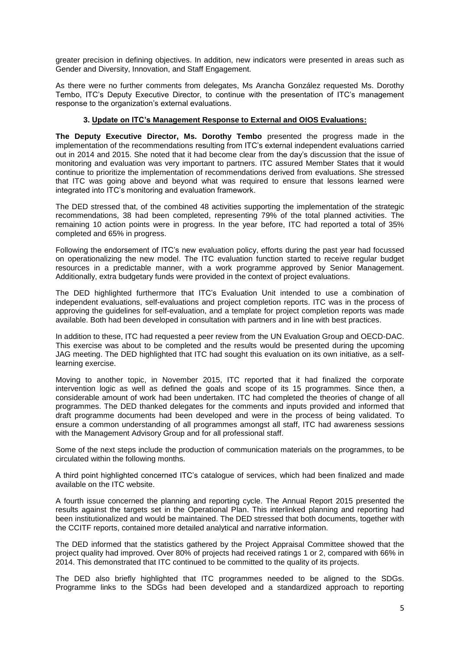greater precision in defining objectives. In addition, new indicators were presented in areas such as Gender and Diversity, Innovation, and Staff Engagement.

As there were no further comments from delegates, Ms Arancha González requested Ms. Dorothy Tembo, ITC's Deputy Executive Director, to continue with the presentation of ITC's management response to the organization's external evaluations.

## **3. Update on ITC's Management Response to External and OIOS Evaluations:**

**The Deputy Executive Director, Ms. Dorothy Tembo** presented the progress made in the implementation of the recommendations resulting from ITC's external independent evaluations carried out in 2014 and 2015. She noted that it had become clear from the day's discussion that the issue of monitoring and evaluation was very important to partners. ITC assured Member States that it would continue to prioritize the implementation of recommendations derived from evaluations. She stressed that ITC was going above and beyond what was required to ensure that lessons learned were integrated into ITC's monitoring and evaluation framework.

The DED stressed that, of the combined 48 activities supporting the implementation of the strategic recommendations, 38 had been completed, representing 79% of the total planned activities. The remaining 10 action points were in progress. In the year before, ITC had reported a total of 35% completed and 65% in progress.

Following the endorsement of ITC's new evaluation policy, efforts during the past year had focussed on operationalizing the new model. The ITC evaluation function started to receive regular budget resources in a predictable manner, with a work programme approved by Senior Management. Additionally, extra budgetary funds were provided in the context of project evaluations.

The DED highlighted furthermore that ITC's Evaluation Unit intended to use a combination of independent evaluations, self-evaluations and project completion reports. ITC was in the process of approving the guidelines for self-evaluation, and a template for project completion reports was made available. Both had been developed in consultation with partners and in line with best practices.

In addition to these, ITC had requested a peer review from the UN Evaluation Group and OECD-DAC. This exercise was about to be completed and the results would be presented during the upcoming JAG meeting. The DED highlighted that ITC had sought this evaluation on its own initiative, as a selflearning exercise.

Moving to another topic, in November 2015, ITC reported that it had finalized the corporate intervention logic as well as defined the goals and scope of its 15 programmes. Since then, a considerable amount of work had been undertaken. ITC had completed the theories of change of all programmes. The DED thanked delegates for the comments and inputs provided and informed that draft programme documents had been developed and were in the process of being validated. To ensure a common understanding of all programmes amongst all staff, ITC had awareness sessions with the Management Advisory Group and for all professional staff.

Some of the next steps include the production of communication materials on the programmes, to be circulated within the following months.

A third point highlighted concerned ITC's catalogue of services, which had been finalized and made available on the ITC website.

A fourth issue concerned the planning and reporting cycle. The Annual Report 2015 presented the results against the targets set in the Operational Plan. This interlinked planning and reporting had been institutionalized and would be maintained. The DED stressed that both documents, together with the CCITF reports, contained more detailed analytical and narrative information.

The DED informed that the statistics gathered by the Project Appraisal Committee showed that the project quality had improved. Over 80% of projects had received ratings 1 or 2, compared with 66% in 2014. This demonstrated that ITC continued to be committed to the quality of its projects.

The DED also briefly highlighted that ITC programmes needed to be aligned to the SDGs. Programme links to the SDGs had been developed and a standardized approach to reporting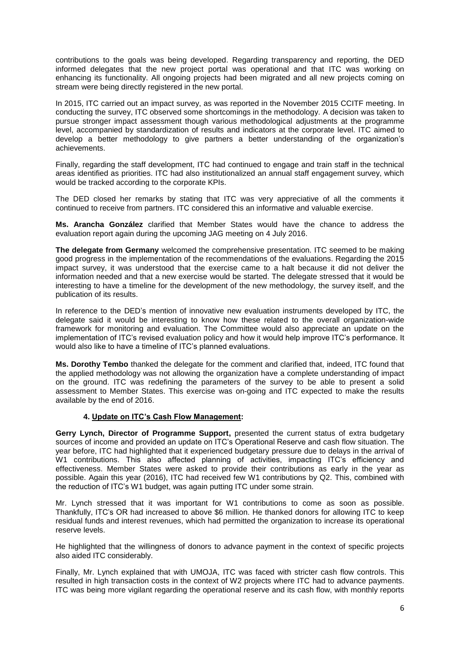contributions to the goals was being developed. Regarding transparency and reporting, the DED informed delegates that the new project portal was operational and that ITC was working on enhancing its functionality. All ongoing projects had been migrated and all new projects coming on stream were being directly registered in the new portal.

In 2015, ITC carried out an impact survey, as was reported in the November 2015 CCITF meeting. In conducting the survey, ITC observed some shortcomings in the methodology. A decision was taken to pursue stronger impact assessment though various methodological adjustments at the programme level, accompanied by standardization of results and indicators at the corporate level. ITC aimed to develop a better methodology to give partners a better understanding of the organization's achievements.

Finally, regarding the staff development, ITC had continued to engage and train staff in the technical areas identified as priorities. ITC had also institutionalized an annual staff engagement survey, which would be tracked according to the corporate KPIs.

The DED closed her remarks by stating that ITC was very appreciative of all the comments it continued to receive from partners. ITC considered this an informative and valuable exercise.

**Ms. Arancha González** clarified that Member States would have the chance to address the evaluation report again during the upcoming JAG meeting on 4 July 2016.

**The delegate from Germany** welcomed the comprehensive presentation. ITC seemed to be making good progress in the implementation of the recommendations of the evaluations. Regarding the 2015 impact survey, it was understood that the exercise came to a halt because it did not deliver the information needed and that a new exercise would be started. The delegate stressed that it would be interesting to have a timeline for the development of the new methodology, the survey itself, and the publication of its results.

In reference to the DED's mention of innovative new evaluation instruments developed by ITC, the delegate said it would be interesting to know how these related to the overall organization-wide framework for monitoring and evaluation. The Committee would also appreciate an update on the implementation of ITC's revised evaluation policy and how it would help improve ITC's performance. It would also like to have a timeline of ITC's planned evaluations.

**Ms. Dorothy Tembo** thanked the delegate for the comment and clarified that, indeed, ITC found that the applied methodology was not allowing the organization have a complete understanding of impact on the ground. ITC was redefining the parameters of the survey to be able to present a solid assessment to Member States. This exercise was on-going and ITC expected to make the results available by the end of 2016.

## **4. Update on ITC's Cash Flow Management:**

**Gerry Lynch, Director of Programme Support,** presented the current status of extra budgetary sources of income and provided an update on ITC's Operational Reserve and cash flow situation. The year before, ITC had highlighted that it experienced budgetary pressure due to delays in the arrival of W1 contributions. This also affected planning of activities, impacting ITC's efficiency and effectiveness. Member States were asked to provide their contributions as early in the year as possible. Again this year (2016), ITC had received few W1 contributions by Q2. This, combined with the reduction of ITC's W1 budget, was again putting ITC under some strain.

Mr. Lynch stressed that it was important for W1 contributions to come as soon as possible. Thankfully, ITC's OR had increased to above \$6 million. He thanked donors for allowing ITC to keep residual funds and interest revenues, which had permitted the organization to increase its operational reserve levels.

He highlighted that the willingness of donors to advance payment in the context of specific projects also aided ITC considerably.

Finally, Mr. Lynch explained that with UMOJA, ITC was faced with stricter cash flow controls. This resulted in high transaction costs in the context of W2 projects where ITC had to advance payments. ITC was being more vigilant regarding the operational reserve and its cash flow, with monthly reports